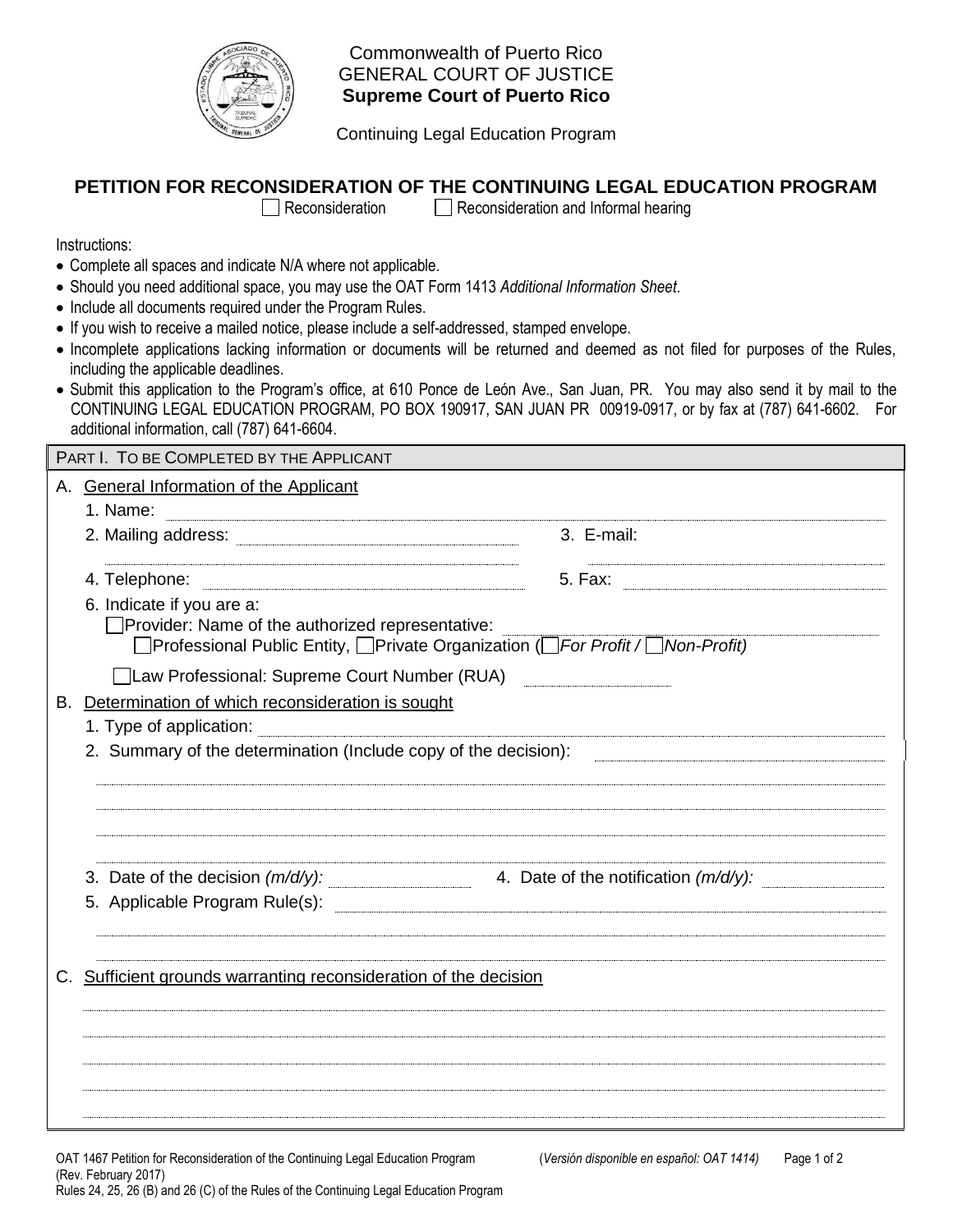

Commonwealth of Puerto Rico GENERAL COURT OF JUSTICE  **Supreme Court of Puerto Rico** 

Continuing Legal Education Program

## **PETITION FOR RECONSIDERATION OF THE CONTINUING LEGAL EDUCATION PROGRAM**

 $\Box$  Reconsideration  $\Box$  Reconsideration and Informal hearing

Instructions:

- Complete all spaces and indicate N/A where not applicable.
- Should you need additional space, you may use the OAT Form 1413 *Additional Information Sheet*.
- Include all documents required under the Program Rules.
- If you wish to receive a mailed notice, please include a self-addressed, stamped envelope.
- Incomplete applications lacking information or documents will be returned and deemed as not filed for purposes of the Rules, including the applicable deadlines.
- Submit this application to the Program's office, at 610 Ponce de León Ave., San Juan, PR. You may also send it by mail to the CONTINUING LEGAL EDUCATION PROGRAM, PO BOX 190917, SAN JUAN PR 00919-0917, or by fax at (787) 641-6602. For additional information, call (787) 641-6604.

|    | PART I. TO BE COMPLETED BY THE APPLICANT                                                                                                                           |                                                                             |  |  |
|----|--------------------------------------------------------------------------------------------------------------------------------------------------------------------|-----------------------------------------------------------------------------|--|--|
|    | A. General Information of the Applicant<br>1. Name:                                                                                                                |                                                                             |  |  |
|    |                                                                                                                                                                    | 3. E-mail:                                                                  |  |  |
|    | 4. Telephone:                                                                                                                                                      |                                                                             |  |  |
|    | 6. Indicate if you are a:<br>□ Provider: Name of the authorized representative:<br>□Professional Public Entity, □Private Organization (□For Profit / □ Non-Profit) |                                                                             |  |  |
|    | □ Law Professional: Supreme Court Number (RUA)                                                                                                                     |                                                                             |  |  |
| В. | Determination of which reconsideration is sought                                                                                                                   |                                                                             |  |  |
|    | 1. Type of application:                                                                                                                                            |                                                                             |  |  |
|    | 2. Summary of the determination (Include copy of the decision):                                                                                                    |                                                                             |  |  |
|    | 5. Applicable Program Rule(s): 2008 2009 2010 2020 2031 2040 2051 2052 2053 2054 2056 2057 2058 2059 2059 205                                                      | 3. Date of the decision $(m/d/y)$ : 4. Date of the notification $(m/d/y)$ : |  |  |
|    | Sufficient grounds warranting reconsideration of the decision                                                                                                      |                                                                             |  |  |
|    |                                                                                                                                                                    |                                                                             |  |  |